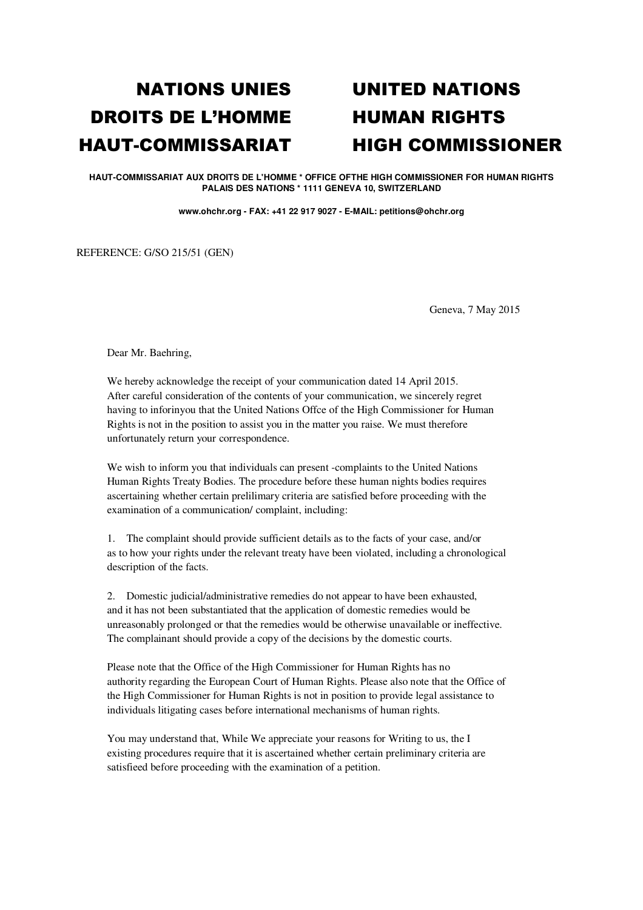## DROITS DE L'HOMME HUMAN RIGHTS

## NATIONS UNIES UNITED NATIONS HAUT-COMMISSARIAT HIGH COMMISSIONER

**HAUT-COMMISSARIAT AUX DROITS DE L'HOMME \* OFFICE OFTHE HIGH COMMISSIONER FOR HUMAN RIGHTS PALAIS DES NATIONS \* 1111 GENEVA 10, SWITZERLAND** 

**www.ohchr.org - FAX: +41 22 917 9027 - E-MAIL: petitions@ohchr.org** 

REFERENCE: G/SO 215/51 (GEN)

Geneva, 7 May 2015

Dear Mr. Baehring,

We hereby acknowledge the receipt of your communication dated 14 April 2015. After careful consideration of the contents of your communication, we sincerely regret having to inforinyou that the United Nations Offce of the High Commissioner for Human Rights is not in the position to assist you in the matter you raise. We must therefore unfortunately return your correspondence.

We wish to inform you that individuals can present -complaints to the United Nations Human Rights Treaty Bodies. The procedure before these human nights bodies requires ascertaining whether certain prelilimary criteria are satisfied before proceeding with the examination of a communication/ complaint, including:

1. The complaint should provide sufficient details as to the facts of your case, and/or as to how your rights under the relevant treaty have been violated, including a chronological description of the facts.

2. Domestic judicial/administrative remedies do not appear to have been exhausted, and it has not been substantiated that the application of domestic remedies would be unreasonably prolonged or that the remedies would be otherwise unavailable or ineffective. The complainant should provide a copy of the decisions by the domestic courts.

Please note that the Office of the High Commissioner for Human Rights has no authority regarding the European Court of Human Rights. Please also note that the Office of the High Commissioner for Human Rights is not in position to provide legal assistance to individuals litigating cases before international mechanisms of human rights.

You may understand that, While We appreciate your reasons for Writing to us, the I existing procedures require that it is ascertained whether certain preliminary criteria are satisfieed before proceeding with the examination of a petition.